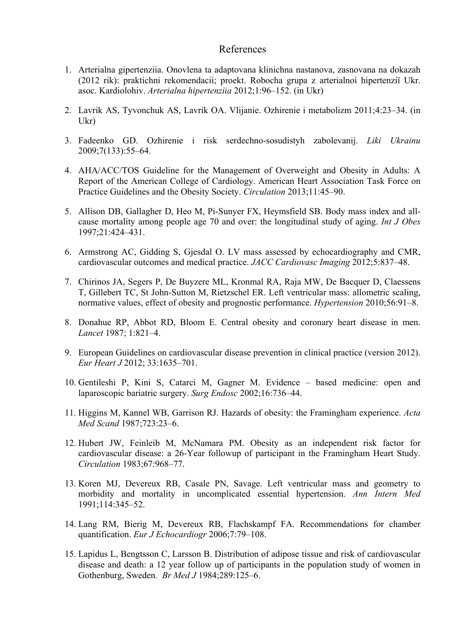## References

- 1. Arterіalna gіpertenzіia. Onovlena ta adaptovana klіnіchna nastanova, zasnovana na dokazah (2012 rіk): praktichnі rekomendacіi; proekt. Robocha grupa z arterіalnoi hіpertenzії Ukr. asoc. Kardіolohіv. *Arterialna hipertenziia* 2012;1:96–152. (in Ukr)
- 2. Lavrik AS, Tyvonchuk AS, Lavrik OA. Vlijanie. Ozhirenie i metabolizm 2011;4:23–34. (in Ukr)
- 3. Fadeenko GD. Ozhirenie i risk serdechno-sosudistyh zabolevanij. *Lіki Ukrainu* 2009;7(133):55–64.
- 4. AHA/ACC/TOS Guideline for the Management of Overweight and Obesity in Adults: A Report of the American College of Cardiology. American Heart Association Task Force on Practice Guidelines and the Obesity Society. *Circulation* 2013;11:45–90.
- 5. Allison DB, Gallagher D, Heo M, Pi-Sunyer FX, Heymsfield SB. Body mass index and allcause mortality among people age 70 and over: the longitudinal study of aging. *Int J Obes* 1997;21:424–431.
- 6. Armstrong AC, Gidding S, Gjesdal O. LV mass assessed by echocardiography and CMR, cardiovascular outcomes and medical practice. *JACC Cardiovasc Imaging* 2012;5:837–48.
- 7. Chirinos JA, Segers P, De Buyzere ML, Kronmal RA, Raja MW, De Bacquer D, Claessens T, Gillebert TC, St John-Sutton M, Rietzschel ER. Left ventricular mass: allometric scaling, normative values, effect of obesity and prognostic performance. *Hypertension* 2010;56:91–8.
- 8. Donahue RP, Abbot RD, Bloom E. Central obesity and coronary heart disease in men. *Lancet* 1987; 1:821–4.
- 9. European Guidelines on cardiovascular disease prevention in clinical practice (version 2012). *Eur Heart J* 2012; 33:1635–701.
- 10. Gentileshi P, Kini S, Catarci M, Gagner M. Evidence based medicine: open and laparoscopic bariatric surgery. *Surg Endosc* 2002;16:736–44.
- 11. Higgins M, Kannel WB, Garrison RJ. Hazards of obesity: the Framingham experience. *Acta Med Scand* 1987;723:23–6.
- 12. Hubert JW, Feinleib M, McNamara PM. Obesity as an independent risk factor for cardiovascular disease: a 26-Year followup of participant in the Framingham Heart Study. *Circulation* 1983;67:968–77.
- 13. Koren MJ, Devereux RB, Casale PN, Savage. Left ventricular mass and geometry to morbidity and mortality in uncomplicated essential hypertension. *Ann Intern Med*  1991;114:345–52.
- 14. Lang RM, Bierig M, Devereux RB, Flachskampf FA. Recommendations for chamber quantification. *Eur J Echocardiogr* 2006;7:79–108.
- 15. Lapidus L, Bengtsson C, Larsson B. Distribution of adipose tissue and risk of cardiovascular disease and death: a 12 year follow up of participants in the population study of women in Gothenburg, Sweden. *Br Med J* 1984;289:125–6.